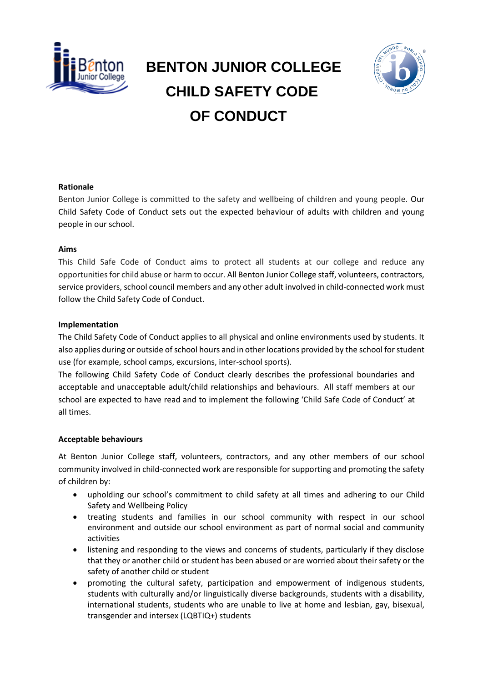

# **BENTON JUNIOR COLLEGE CHILD SAFETY CODE OF CONDUCT**



## **Rationale**

Benton Junior College is committed to the safety and wellbeing of children and young people. Our Child Safety Code of Conduct sets out the expected behaviour of adults with children and young people in our school.

#### **Aims**

This Child Safe Code of Conduct aims to protect all students at our college and reduce any opportunities for child abuse or harm to occur. All Benton Junior College staff, volunteers, contractors, service providers, school council members and any other adult involved in child-connected work must follow the Child Safety Code of Conduct.

#### **Implementation**

The Child Safety Code of Conduct applies to all physical and online environments used by students. It also applies during or outside of school hours and in other locations provided by the school for student use (for example, school camps, excursions, inter-school sports).

The following Child Safety Code of Conduct clearly describes the professional boundaries and acceptable and unacceptable adult/child relationships and behaviours. All staff members at our school are expected to have read and to implement the following 'Child Safe Code of Conduct' at all times.

## **Acceptable behaviours**

At Benton Junior College staff, volunteers, contractors, and any other members of our school community involved in child-connected work are responsible for supporting and promoting the safety of children by:

- upholding our school's commitment to child safety at all times and adhering to our Child Safety and Wellbeing Policy
- treating students and families in our school community with respect in our school environment and outside our school environment as part of normal social and community activities
- listening and responding to the views and concerns of students, particularly if they disclose that they or another child or student has been abused or are worried about their safety or the safety of another child or student
- promoting the cultural safety, participation and empowerment of indigenous students, students with culturally and/or linguistically diverse backgrounds, students with a disability, international students, students who are unable to live at home and lesbian, gay, bisexual, transgender and intersex (LQBTIQ+) students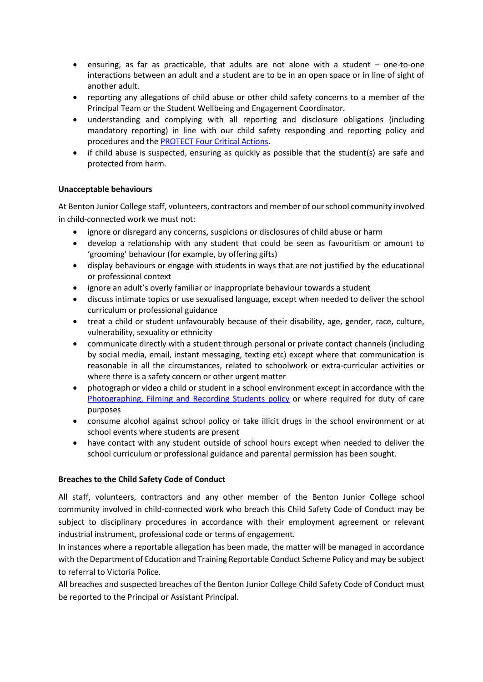- ensuring, as far as practicable, that adults are not alone with a student one-to-one interactions between an adult and a student are to be in an open space or in line of sight of another adult.
- reporting any allegations of child abuse or other child safety concerns to a member of the Principal Team or the Student Wellbeing and Engagement Coordinator.
- understanding and complying with all reporting and disclosure obligations (including mandatory reporting) in line with our child safety responding and reporting policy and procedures and the [PROTECT Four Critical Actions.](https://www.education.vic.gov.au/Documents/about/programs/health/protect/FourCriticalActions_ChildAbuse.pdf)
- if child abuse is suspected, ensuring as quickly as possible that the student(s) are safe and protected from harm.

## **Unacceptable behaviours**

At Benton Junior College staff, volunteers, contractors and member of our school community involved in child-connected work we must not:

- ignore or disregard any concerns, suspicions or disclosures of child abuse or harm
- develop a relationship with any student that could be seen as favouritism or amount to 'grooming' behaviour (for example, by offering gifts)
- display behaviours or engage with students in ways that are not justified by the educational or professional context
- ignore an adult's overly familiar or inappropriate behaviour towards a student
- discuss intimate topics or use sexualised language, except when needed to deliver the school curriculum or professional guidance
- treat a child or student unfavourably because of their disability, age, gender, race, culture, vulnerability, sexuality or ethnicity
- communicate directly with a student through personal or private contact channels (including by social media, email, instant messaging, texting etc) except where that communication is reasonable in all the circumstances, related to schoolwork or extra-curricular activities or where there is a safety concern or other urgent matter
- photograph or video a child or student in a school environment except in accordance with the [Photographing, Filming and Recording Students policy](https://www2.education.vic.gov.au/pal/photographing-students/policy) or where required for duty of care purposes
- consume alcohol against school policy or take illicit drugs in the school environment or at school events where students are present
- have contact with any student outside of school hours except when needed to deliver the school curriculum or professional guidance and parental permission has been sought.

## **Breaches to the Child Safety Code of Conduct**

All staff, volunteers, contractors and any other member of the Benton Junior College school community involved in child-connected work who breach this Child Safety Code of Conduct may be subject to disciplinary procedures in accordance with their employment agreement or relevant industrial instrument, professional code or terms of engagement.

In instances where a reportable allegation has been made, the matter will be managed in accordance with the Department of Education and Training Reportable Conduct Scheme Policy and may be subject to referral to Victoria Police.

All breaches and suspected breaches of the Benton Junior College Child Safety Code of Conduct must be reported to the Principal or Assistant Principal.